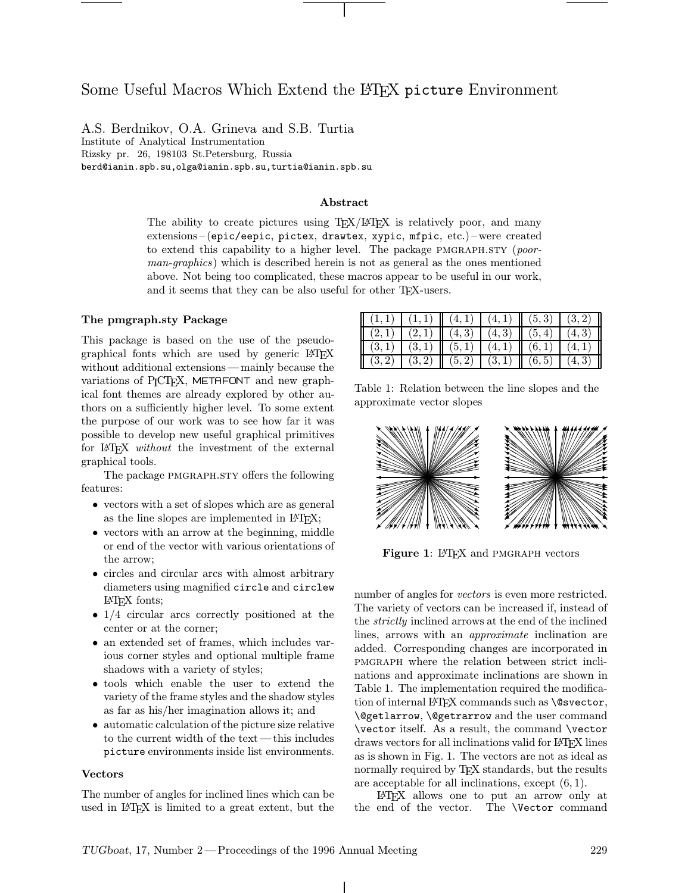# Some Useful Macros Which Extend the LATEX picture Environment

A.S. Berdnikov, O.A. Grineva and S.B. Turtia Institute of Analytical Instrumentation Rizsky pr. 26, 198103 St.Petersburg, Russia berd@ianin.spb.su,olga@ianin.spb.su,turtia@ianin.spb.su

# Abstract

The ability to create pictures using  $T_{\rm F}X/F_{\rm F}X$  is relatively poor, and many extensions–(epic/eepic, pictex, drawtex, xypic, mfpic, etc.)–were created to extend this capability to a higher level. The package  $PMGRAPHSTY$  (poorman-graphics) which is described herein is not as general as the ones mentioned above. Not being too complicated, these macros appear to be useful in our work, and it seems that they can be also useful for other T<sub>E</sub>X-users.

# The pmgraph.sty Package

This package is based on the use of the pseudographical fonts which are used by generic LATEX without additional extensions—mainly because the variations of P<sub>I</sub>CT<sub>F</sub>X, METAFONT and new graphical font themes are already explored by other authors on a sufficiently higher level. To some extent the purpose of our work was to see how far it was possible to develop new useful graphical primitives for LAT<sub>EX</sub> without the investment of the external graphical tools.

The package PMGRAPH.STY offers the following features:

- vectors with a set of slopes which are as general as the line slopes are implemented in IAT<sub>E</sub>X;
- vectors with an arrow at the beginning, middle or end of the vector with various orientations of the arrow;
- circles and circular arcs with almost arbitrary diameters using magnified circle and circlew LATEX fonts;
- 1/4 circular arcs correctly positioned at the center or at the corner;
- an extended set of frames, which includes various corner styles and optional multiple frame shadows with a variety of styles;
- tools which enable the user to extend the variety of the frame styles and the shadow styles as far as his/her imagination allows it; and
- automatic calculation of the picture size relative to the current width of the text—this includes picture environments inside list environments.

#### Vectors

The number of angles for inclined lines which can be used in LATEX is limited to a great extent, but the

| $(1,1)$ $(1,1)$ $(4,1)$ $(4,1)$ $(5,3)$ $(3,2)$ $\parallel$ |  |  |  |
|-------------------------------------------------------------|--|--|--|
| $(2,1)$ $(2,1)$ $(4,3)$ $(4,3)$ $(5,4)$ $(4,3)$             |  |  |  |
| $(3,1) (3,1) (5,1) (5,1) (4,1) (6,1) (4,1)$                 |  |  |  |
| $(3,2)$ $(3,2)$ $(5,2)$ $(3,1)$ $(6,5)$ $(4,3)$ $(5,3)$     |  |  |  |

Table 1: Relation between the line slopes and the approximate vector slopes



Figure 1: LAT<sub>F</sub>X and PMGRAPH vectors

number of angles for *vectors* is even more restricted. The variety of vectors can be increased if, instead of the strictly inclined arrows at the end of the inclined lines, arrows with an *approximate* inclination are added. Corresponding changes are incorporated in pmgraph where the relation between strict inclinations and approximate inclinations are shown in Table 1. The implementation required the modification of internal LAT<sub>F</sub>X commands such as **\@svector**, \@getlarrow, \@getrarrow and the user command \vector itself. As a result, the command \vector draws vectors for all inclinations valid for LATEX lines as is shown in Fig. 1. The vectors are not as ideal as normally required by TEX standards, but the results are acceptable for all inclinations, except (6, 1).

LATEX allows one to put an arrow only at the end of the vector. The \Vector command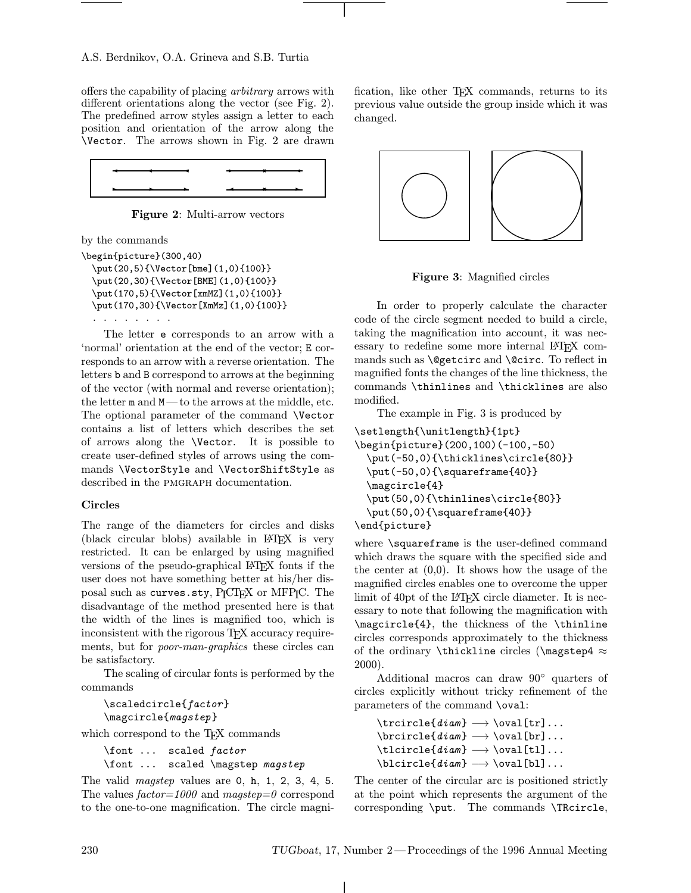offers the capability of placing arbitrary arrows with different orientations along the vector (see Fig. 2). The predefined arrow styles assign a letter to each position and orientation of the arrow along the \Vector. The arrows shown in Fig. 2 are drawn



Figure 2: Multi-arrow vectors

by the commands

```
\begin{picture}(300,40)
  \put(20,5){\Vector[bme](1,0){100}}
  \put(20,30){\Vector[BME](1,0){100}}
  \put(170,5){\Vector[xmMZ](1,0){100}}
  \put(170,30){\Vector[XmMz](1,0){100}}
  ........
```
The letter e corresponds to an arrow with a 'normal' orientation at the end of the vector; E corresponds to an arrow with a reverse orientation. The letters b and B correspond to arrows at the beginning of the vector (with normal and reverse orientation); the letter m and M—to the arrows at the middle, etc. The optional parameter of the command \Vector contains a list of letters which describes the set of arrows along the \Vector. It is possible to create user-defined styles of arrows using the commands \VectorStyle and \VectorShiftStyle as described in the PMGRAPH documentation.

# Circles

The range of the diameters for circles and disks (black circular blobs) available in LATEX is very restricted. It can be enlarged by using magnified versions of the pseudo-graphical LATEX fonts if the user does not have something better at his/her disposal such as curves.sty, PICTEX or MFPIC. The disadvantage of the method presented here is that the width of the lines is magnified too, which is inconsistent with the rigorous T<sub>E</sub>X accuracy requirements, but for poor-man-graphics these circles can be satisfactory.

The scaling of circular fonts is performed by the commands

```
\scaledcircle{factor}
\magcircle{magstep}
```
which correspond to the T<sub>E</sub>X commands

```
\font ... scaled factor
\font ... scaled \magstep magstep
```
The valid *magstep* values are 0, h, 1, 2, 3, 4, 5. The values  $factor=1000$  and  $magstep=0$  correspond to the one-to-one magnification. The circle magnification, like other T<sub>E</sub>X commands, returns to its previous value outside the group inside which it was changed.



Figure 3: Magnified circles

In order to properly calculate the character code of the circle segment needed to build a circle, taking the magnification into account, it was necessary to redefine some more internal LATEX commands such as \@getcirc and \@circ. To reflect in magnified fonts the changes of the line thickness, the commands \thinlines and \thicklines are also modified.

The example in Fig. 3 is produced by

```
\setlength{\unitlength}{1pt}
\begin{picture}(200,100)(-100,-50)
  \put(-50,0){\thicklines\circle{80}}
  \put(-50,0){\squareframe{40}}
  \magcircle{4}
  \put(50,0){\thinlines\circle{80}}
  \put(50,0){\squareframe{40}}
\end{picture}
```
where \squareframe is the user-defined command which draws the square with the specified side and the center at  $(0,0)$ . It shows how the usage of the magnified circles enables one to overcome the upper limit of 40pt of the LAT<sub>EX</sub> circle diameter. It is necessary to note that following the magnification with \magcircle{4}, the thickness of the \thinline circles corresponds approximately to the thickness of the ordinary \thickline circles (\magstep4  $\approx$ 2000).

Additional macros can draw 90◦ quarters of circles explicitly without tricky refinement of the parameters of the command \oval:

```
\trcircle{diam} −→ \oval[tr]...
\bar{\text{diam}} \rightarrow \bar{\text{br}} \dots\tilde{\tilde{diam}} \longrightarrow \tilde{\tilde{t}}...
\hbox{\scriptsize \textbackslash}blcircle{diam} \longrightarrow \hbox{\scriptsize \textbackslash}bl]...
```
The center of the circular arc is positioned strictly at the point which represents the argument of the corresponding \put. The commands \TRcircle,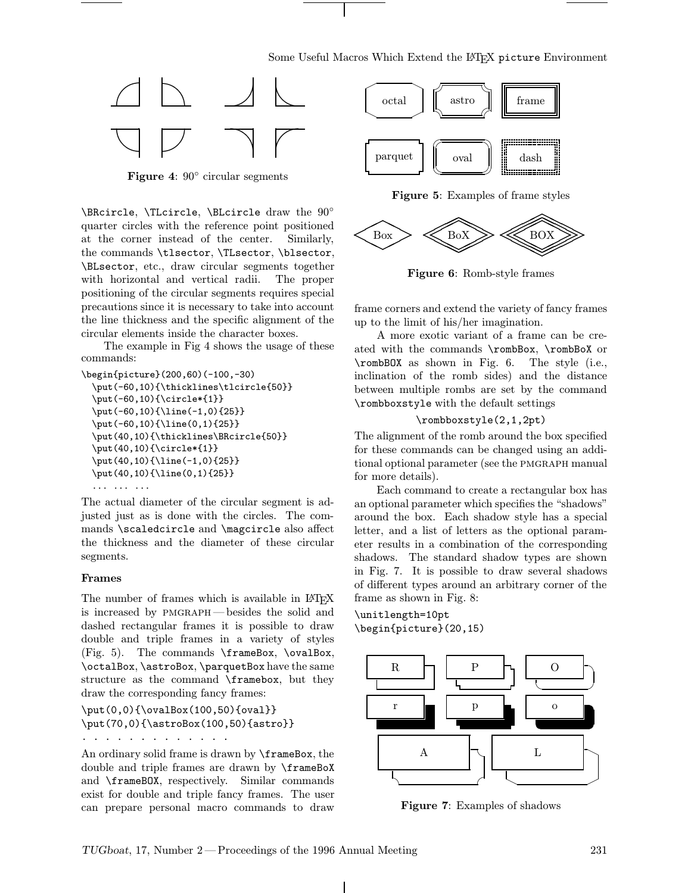

Figure 4: 90◦ circular segments

\BRcircle, \TLcircle, \BLcircle draw the 90◦ quarter circles with the reference point positioned at the corner instead of the center. Similarly, the commands \tlsector, \TLsector, \blsector, \BLsector, etc., draw circular segments together with horizontal and vertical radii. The proper positioning of the circular segments requires special precautions since it is necessary to take into account the line thickness and the specific alignment of the circular elements inside the character boxes.

The example in Fig 4 shows the usage of these commands:

```
\begin{picture}(200,60)(-100,-30)
  \put(-60,10){\thicklines\tlcircle{50}}
  \put(-60,10){\circle*{1}}
  \put(-60,10){\line(-1,0){25}}
  \put(-60,10){\line(0,1){25}}
  \put(40,10){\thicklines\BRcircle{50}}
  \put(40,10){\circle*{1}}
  \put(40,10){\line(-1,0){25}}
  \put(40,10){\line(0,1){25}}
  ... ... ...
```
The actual diameter of the circular segment is adjusted just as is done with the circles. The commands \scaledcircle and \magcircle also affect the thickness and the diameter of these circular segments.

# Frames

The number of frames which is available in LAT<sub>EX</sub> is increased by pmgraph —besides the solid and dashed rectangular frames it is possible to draw double and triple frames in a variety of styles (Fig. 5). The commands \frameBox, \ovalBox, \octalBox, \astroBox, \parquetBox have the same structure as the command \framebox, but they draw the corresponding fancy frames:

\put(0,0){\ovalBox(100,50){oval}} \put(70,0){\astroBox(100,50){astro}}

.............

An ordinary solid frame is drawn by \frameBox, the double and triple frames are drawn by \frameBoX and \frameBOX, respectively. Similar commands exist for double and triple fancy frames. The user can prepare personal macro commands to draw



Figure 5: Examples of frame styles



Figure 6: Romb-style frames

frame corners and extend the variety of fancy frames up to the limit of his/her imagination.

A more exotic variant of a frame can be created with the commands \rombBox, \rombBoX or \rombBOX as shown in Fig. 6. The style (i.e., inclination of the romb sides) and the distance between multiple rombs are set by the command \rombboxstyle with the default settings

## \rombboxstyle(2,1,2pt)

The alignment of the romb around the box specified for these commands can be changed using an additional optional parameter (see the pmgraph manual for more details).

Each command to create a rectangular box has an optional parameter which specifies the "shadows" around the box. Each shadow style has a special letter, and a list of letters as the optional parameter results in a combination of the corresponding shadows. The standard shadow types are shown in Fig. 7. It is possible to draw several shadows of different types around an arbitrary corner of the frame as shown in Fig. 8:

\unitlength=10pt \begin{picture}(20,15)



Figure 7: Examples of shadows